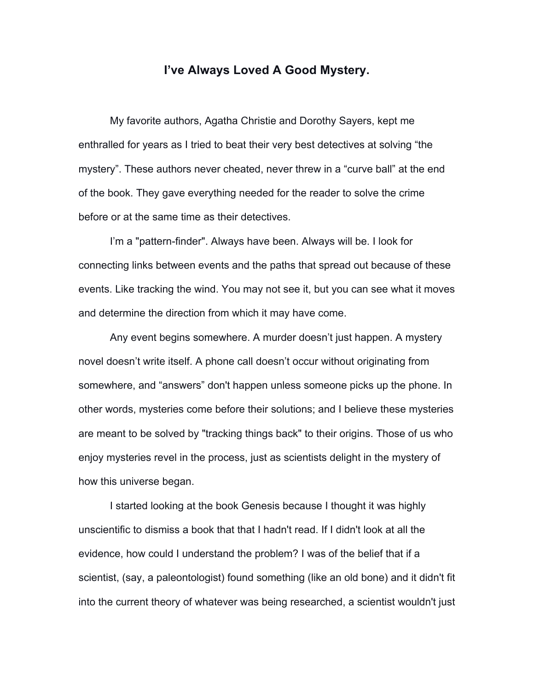## **I've Always Loved A Good Mystery.**

My favorite authors, Agatha Christie and Dorothy Sayers, kept me enthralled for years as I tried to beat their very best detectives at solving "the mystery". These authors never cheated, never threw in a "curve ball" at the end of the book. They gave everything needed for the reader to solve the crime before or at the same time as their detectives.

I'm a "pattern-finder". Always have been. Always will be. I look for connecting links between events and the paths that spread out because of these events. Like tracking the wind. You may not see it, but you can see what it moves and determine the direction from which it may have come.

Any event begins somewhere. A murder doesn't just happen. A mystery novel doesn't write itself. A phone call doesn't occur without originating from somewhere, and "answers" don't happen unless someone picks up the phone. In other words, mysteries come before their solutions; and I believe these mysteries are meant to be solved by "tracking things back" to their origins. Those of us who enjoy mysteries revel in the process, just as scientists delight in the mystery of how this universe began.

I started looking at the book Genesis because I thought it was highly unscientific to dismiss a book that that I hadn't read. If I didn't look at all the evidence, how could I understand the problem? I was of the belief that if a scientist, (say, a paleontologist) found something (like an old bone) and it didn't fit into the current theory of whatever was being researched, a scientist wouldn't just